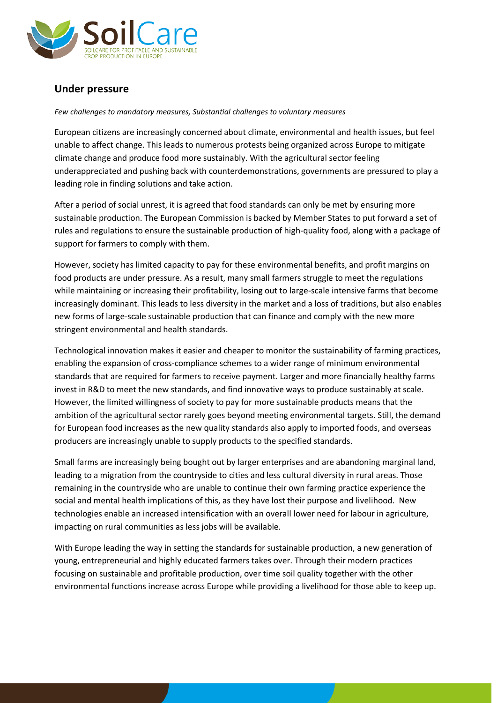

## **Under pressure**

## *Few challenges to mandatory measures, Substantial challenges to voluntary measures*

European citizens are increasingly concerned about climate, environmental and health issues, but feel unable to affect change. This leads to numerous protests being organized across Europe to mitigate climate change and produce food more sustainably. With the agricultural sector feeling underappreciated and pushing back with counterdemonstrations, governments are pressured to play a leading role in finding solutions and take action.

After a period of social unrest, it is agreed that food standards can only be met by ensuring more sustainable production. The European Commission is backed by Member States to put forward a set of rules and regulations to ensure the sustainable production of high-quality food, along with a package of support for farmers to comply with them.

However, society has limited capacity to pay for these environmental benefits, and profit margins on food products are under pressure. As a result, many small farmers struggle to meet the regulations while maintaining or increasing their profitability, losing out to large-scale intensive farms that become increasingly dominant. This leads to less diversity in the market and a loss of traditions, but also enables new forms of large-scale sustainable production that can finance and comply with the new more stringent environmental and health standards.

Technological innovation makes it easier and cheaper to monitor the sustainability of farming practices, enabling the expansion of cross-compliance schemes to a wider range of minimum environmental standards that are required for farmers to receive payment. Larger and more financially healthy farms invest in R&D to meet the new standards, and find innovative ways to produce sustainably at scale. However, the limited willingness of society to pay for more sustainable products means that the ambition of the agricultural sector rarely goes beyond meeting environmental targets. Still, the demand for European food increases as the new quality standards also apply to imported foods, and overseas producers are increasingly unable to supply products to the specified standards.

Small farms are increasingly being bought out by larger enterprises and are abandoning marginal land, leading to a migration from the countryside to cities and less cultural diversity in rural areas. Those remaining in the countryside who are unable to continue their own farming practice experience the social and mental health implications of this, as they have lost their purpose and livelihood. New technologies enable an increased intensification with an overall lower need for labour in agriculture, impacting on rural communities as less jobs will be available.

With Europe leading the way in setting the standards for sustainable production, a new generation of young, entrepreneurial and highly educated farmers takes over. Through their modern practices focusing on sustainable and profitable production, over time soil quality together with the other environmental functions increase across Europe while providing a livelihood for those able to keep up.